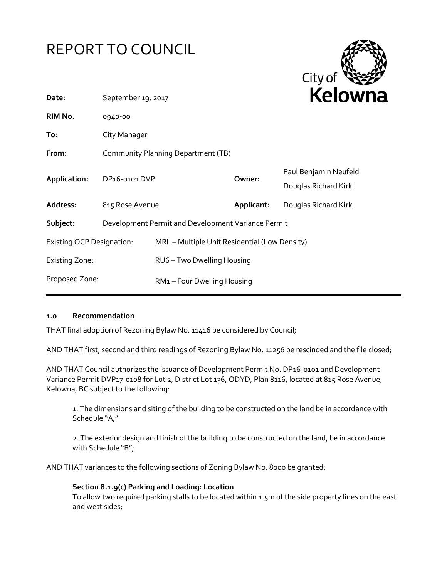



| Date:                            | September 19, 2017                 |                                                    | NEIUWI     |                                               |
|----------------------------------|------------------------------------|----------------------------------------------------|------------|-----------------------------------------------|
| RIM No.                          | 0940-00                            |                                                    |            |                                               |
| To:                              | City Manager                       |                                                    |            |                                               |
| From:                            | Community Planning Department (TB) |                                                    |            |                                               |
| Application:                     | DP <sub>16</sub> -0101 DVP         |                                                    | Owner:     | Paul Benjamin Neufeld<br>Douglas Richard Kirk |
| Address:                         | 815 Rose Avenue                    |                                                    | Applicant: | Douglas Richard Kirk                          |
| Subject:                         |                                    | Development Permit and Development Variance Permit |            |                                               |
| <b>Existing OCP Designation:</b> |                                    | MRL - Multiple Unit Residential (Low Density)      |            |                                               |
| <b>Existing Zone:</b>            |                                    | RU6 - Two Dwelling Housing                         |            |                                               |
| Proposed Zone:                   |                                    | RM1-Four Dwelling Housing                          |            |                                               |

#### **1.0 Recommendation**

THAT final adoption of Rezoning Bylaw No. 11416 be considered by Council;

AND THAT first, second and third readings of Rezoning Bylaw No. 11256 be rescinded and the file closed;

AND THAT Council authorizes the issuance of Development Permit No. DP16-0101 and Development Variance Permit DVP17-0108 for Lot 2, District Lot 136, ODYD, Plan 8116, located at 815 Rose Avenue, Kelowna, BC subject to the following:

1. The dimensions and siting of the building to be constructed on the land be in accordance with Schedule "A,"

2. The exterior design and finish of the building to be constructed on the land, be in accordance with Schedule "B";

AND THAT variances to the following sections of Zoning Bylaw No. 8000 be granted:

#### **Section 8.1.9(c) Parking and Loading: Location**

To allow two required parking stalls to be located within 1.5m of the side property lines on the east and west sides;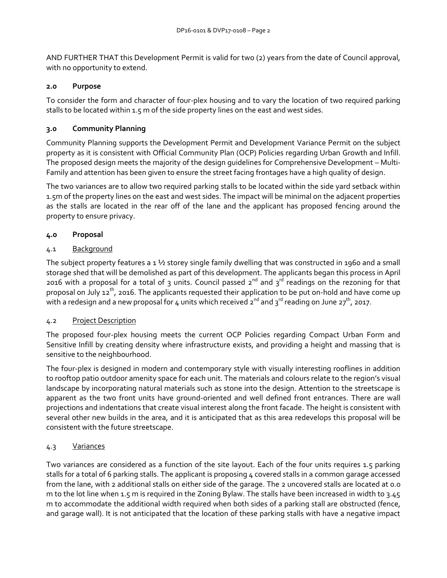AND FURTHER THAT this Development Permit is valid for two (2) years from the date of Council approval, with no opportunity to extend.

#### **2.0 Purpose**

To consider the form and character of four-plex housing and to vary the location of two required parking stalls to be located within 1.5 m of the side property lines on the east and west sides.

## **3.0 Community Planning**

Community Planning supports the Development Permit and Development Variance Permit on the subject property as it is consistent with Official Community Plan (OCP) Policies regarding Urban Growth and Infill. The proposed design meets the majority of the design guidelines for Comprehensive Development – Multi-Family and attention has been given to ensure the street facing frontages have a high quality of design.

The two variances are to allow two required parking stalls to be located within the side yard setback within 1.5m of the property lines on the east and west sides. The impact will be minimal on the adjacent properties as the stalls are located in the rear off of the lane and the applicant has proposed fencing around the property to ensure privacy.

## **4.0 Proposal**

## 4.1 Background

The subject property features a  $1\frac{1}{2}$  storey single family dwelling that was constructed in 1960 and a small storage shed that will be demolished as part of this development. The applicants began this process in April 2016 with a proposal for a total of 3 units. Council passed  $2^{nd}$  and  $3^{rd}$  readings on the rezoning for that proposal on July 12<sup>th</sup>, 2016. The applicants requested their application to be put on-hold and have come up with a redesign and a new proposal for 4 units which received  $2^{nd}$  and  $3^{rd}$  reading on June  $27^{th}$ , 2017.

## 4.2 Project Description

The proposed four-plex housing meets the current OCP Policies regarding Compact Urban Form and Sensitive Infill by creating density where infrastructure exists, and providing a height and massing that is sensitive to the neighbourhood.

The four-plex is designed in modern and contemporary style with visually interesting rooflines in addition to rooftop patio outdoor amenity space for each unit. The materials and colours relate to the region's visual landscape by incorporating natural materials such as stone into the design. Attention to the streetscape is apparent as the two front units have ground-oriented and well defined front entrances. There are wall projections and indentations that create visual interest along the front facade. The height is consistent with several other new builds in the area, and it is anticipated that as this area redevelops this proposal will be consistent with the future streetscape.

## 4.3 Variances

Two variances are considered as a function of the site layout. Each of the four units requires 1.5 parking stalls for a total of 6 parking stalls. The applicant is proposing 4 covered stalls in a common garage accessed from the lane, with 2 additional stalls on either side of the garage. The 2 uncovered stalls are located at 0.0 m to the lot line when 1.5 m is required in the Zoning Bylaw. The stalls have been increased in width to 3.45 m to accommodate the additional width required when both sides of a parking stall are obstructed (fence, and garage wall). It is not anticipated that the location of these parking stalls with have a negative impact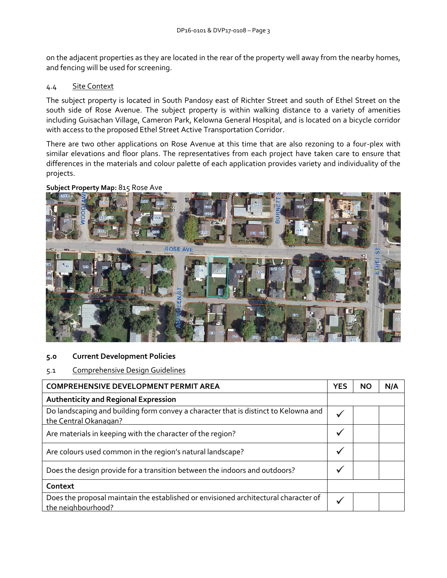on the adjacent properties as they are located in the rear of the property well away from the nearby homes, and fencing will be used for screening.

# 4.4 Site Context

The subject property is located in South Pandosy east of Richter Street and south of Ethel Street on the south side of Rose Avenue. The subject property is within walking distance to a variety of amenities including Guisachan Village, Cameron Park, Kelowna General Hospital, and is located on a bicycle corridor with access to the proposed Ethel Street Active Transportation Corridor.

There are two other applications on Rose Avenue at this time that are also rezoning to a four-plex with similar elevations and floor plans. The representatives from each project have taken care to ensure that differences in the materials and colour palette of each application provides variety and individuality of the projects.



#### **Subject Property Map:** 815 Rose Ave

## **5.0 Current Development Policies**

#### 5.1 Comprehensive Design Guidelines

| <b>COMPREHENSIVE DEVELOPMENT PERMIT AREA</b>                                                                 |  | NΟ | N/A |
|--------------------------------------------------------------------------------------------------------------|--|----|-----|
| <b>Authenticity and Regional Expression</b>                                                                  |  |    |     |
| Do landscaping and building form convey a character that is distinct to Kelowna and<br>the Central Okanagan? |  |    |     |
| Are materials in keeping with the character of the region?                                                   |  |    |     |
| Are colours used common in the region's natural landscape?                                                   |  |    |     |
| Does the design provide for a transition between the indoors and outdoors?                                   |  |    |     |
| Context                                                                                                      |  |    |     |
| Does the proposal maintain the established or envisioned architectural character of<br>the neighbourhood?    |  |    |     |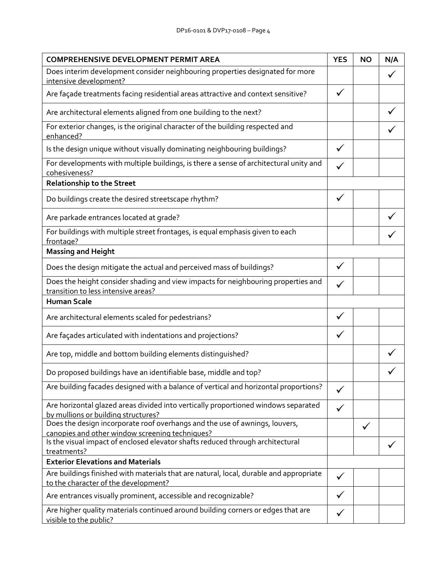| <b>COMPREHENSIVE DEVELOPMENT PERMIT AREA</b>                                                                                   | <b>YES</b>   | <b>NO</b> | N/A |
|--------------------------------------------------------------------------------------------------------------------------------|--------------|-----------|-----|
| Does interim development consider neighbouring properties designated for more<br>intensive development?                        |              |           |     |
| Are façade treatments facing residential areas attractive and context sensitive?                                               | $\checkmark$ |           |     |
| Are architectural elements aligned from one building to the next?                                                              |              |           |     |
| For exterior changes, is the original character of the building respected and<br>enhanced?                                     |              |           |     |
| Is the design unique without visually dominating neighbouring buildings?                                                       | ✓            |           |     |
| For developments with multiple buildings, is there a sense of architectural unity and<br>cohesiveness?                         |              |           |     |
| <b>Relationship to the Street</b>                                                                                              |              |           |     |
| Do buildings create the desired streetscape rhythm?                                                                            | ✓            |           |     |
| Are parkade entrances located at grade?                                                                                        |              |           |     |
| For buildings with multiple street frontages, is equal emphasis given to each<br>frontage?                                     |              |           |     |
| <b>Massing and Height</b>                                                                                                      |              |           |     |
| Does the design mitigate the actual and perceived mass of buildings?                                                           |              |           |     |
| Does the height consider shading and view impacts for neighbouring properties and<br>transition to less intensive areas?       |              |           |     |
| <b>Human Scale</b>                                                                                                             |              |           |     |
| Are architectural elements scaled for pedestrians?                                                                             | ✓            |           |     |
| Are façades articulated with indentations and projections?                                                                     |              |           |     |
| Are top, middle and bottom building elements distinguished?                                                                    |              |           |     |
| Do proposed buildings have an identifiable base, middle and top?                                                               |              |           |     |
| Are building facades designed with a balance of vertical and horizontal proportions?                                           |              |           |     |
| Are horizontal glazed areas divided into vertically proportioned windows separated<br>by mullions or building structures?      |              |           |     |
| Does the design incorporate roof overhangs and the use of awnings, louvers,<br>canopies and other window screening techniques? |              |           |     |
| Is the visual impact of enclosed elevator shafts reduced through architectural                                                 |              |           |     |
| treatments?<br><b>Exterior Elevations and Materials</b>                                                                        |              |           |     |
| Are buildings finished with materials that are natural, local, durable and appropriate                                         |              |           |     |
| to the character of the development?                                                                                           |              |           |     |
| Are entrances visually prominent, accessible and recognizable?                                                                 |              |           |     |
| Are higher quality materials continued around building corners or edges that are<br>visible to the public?                     |              |           |     |